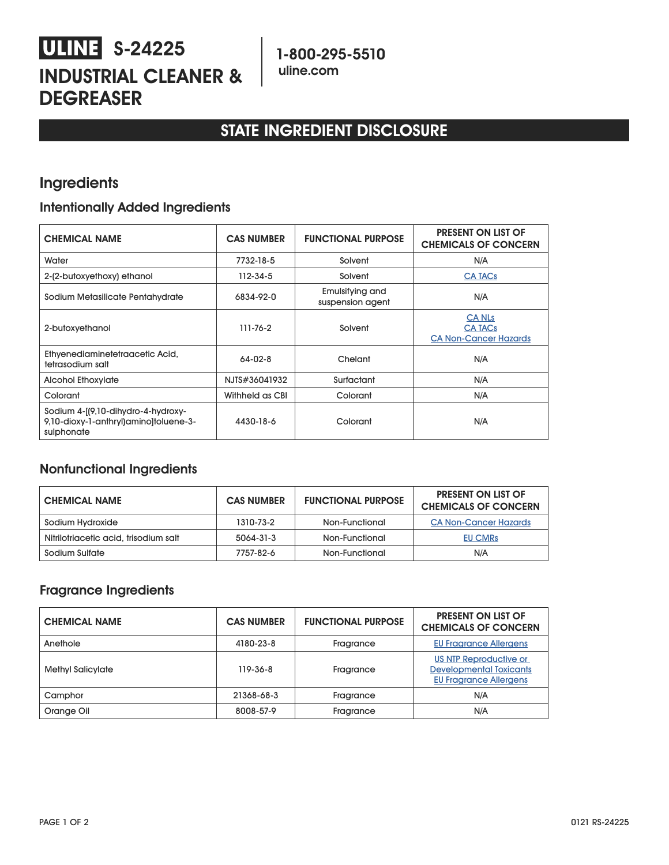# **S-24225 INDUSTRIAL CLEANER & DEGREASER**

## **STATE INGREDIENT DISCLOSURE**

### **Ingredients**

### **Intentionally Added Ingredients**

| <b>CHEMICAL NAME</b>                                                                      | <b>CAS NUMBER</b> | <b>FUNCTIONAL PURPOSE</b>           | <b>PRESENT ON LIST OF</b><br><b>CHEMICALS OF CONCERN</b>        |
|-------------------------------------------------------------------------------------------|-------------------|-------------------------------------|-----------------------------------------------------------------|
| Water                                                                                     | 7732-18-5         | Solvent                             | N/A                                                             |
| 2-(2-butoxyethoxy) ethanol                                                                | $112 - 34 - 5$    | Solvent                             | <b>CA TACs</b>                                                  |
| Sodium Metasilicate Pentahydrate                                                          | 6834-92-0         | Emulsifying and<br>suspension agent | N/A                                                             |
| 2-butoxyethanol                                                                           | 111-76-2          | Solvent                             | <b>CA NLs</b><br><b>CA TACs</b><br><b>CA Non-Cancer Hazards</b> |
| Ethyenediaminetetraacetic Acid,<br>tetrasodium salt                                       | $64 - 02 - 8$     | Chelant                             | N/A                                                             |
| <b>Alcohol Ethoxylate</b>                                                                 | NJTS#36041932     | Surfactant                          | N/A                                                             |
| Colorant                                                                                  | Withheld as CBI   | Colorant                            | N/A                                                             |
| Sodium 4-[(9,10-dihydro-4-hydroxy-<br>9,10-dioxy-1-anthryl)amino]toluene-3-<br>sulphonate | 4430-18-6         | Colorant                            | N/A                                                             |

### **Nonfunctional Ingredients**

| <b>CHEMICAL NAME</b>                  | <b>CAS NUMBER</b> | <b>FUNCTIONAL PURPOSE</b> | <b>PRESENT ON LIST OF</b><br><b>CHEMICALS OF CONCERN</b> |
|---------------------------------------|-------------------|---------------------------|----------------------------------------------------------|
| Sodium Hydroxide                      | 1310-73-2         | Non-Functional            | <b>CA Non-Cancer Hazards</b>                             |
| Nitrilotriacetic acid, trisodium salt | 5064-31-3         | Non-Functional            | <b>EU CMRS</b>                                           |
| Sodium Sulfate                        | 7757-82-6         | Non-Functional            | N/A                                                      |

### **Fragrance Ingredients**

| <b>CHEMICAL NAME</b>     | <b>CAS NUMBER</b> | <b>FUNCTIONAL PURPOSE</b> | <b>PRESENT ON LIST OF</b><br><b>CHEMICALS OF CONCERN</b>                                  |
|--------------------------|-------------------|---------------------------|-------------------------------------------------------------------------------------------|
| Anethole                 | 4180-23-8         | Fragrance                 | <b>EU Fragrance Allergens</b>                                                             |
| <b>Methyl Salicylate</b> | 119-36-8          | Fragrance                 | US NTP Reproductive or<br><b>Developmental Toxicants</b><br><b>EU Fragrance Allergens</b> |
| Camphor                  | 21368-68-3        | Fragrance                 | N/A                                                                                       |
| Orange Oil               | 8008-57-9         | Fragrance                 | N/A                                                                                       |